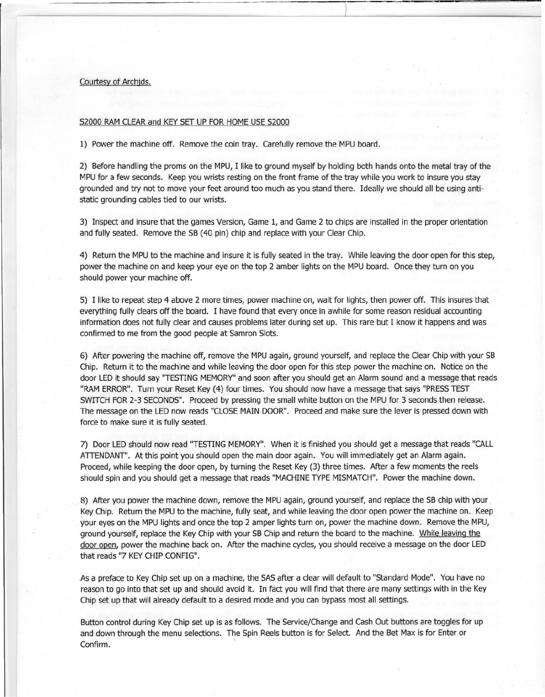## Courtesy of Archjds.

## S2000 RAM CLEAR and KEY SET UP FOR HOME USE S2000

1) Power the machine off. Remove the coin tray. Carefully remove the MPU board.

2) Before handling the proms on the MPU, I like to ground myself by holding both hands onto the metal tray of the MPU for a few seconds. Keep you wrists resting on the front frame of the tray while you work to insure you stay grounded and try not to move your feet around too much as you stand there. Ideally we should all be using antistatic grounding cables tied to our wrists.

3) Inspect and insure that the games Version, Game 1, and Game 2 to chips are installed in the proper orientation and fully seated. Remove the SB (40 pin) chip and replace with your Clear Chip.

4) Return the MPU to the machine and insure it is fully seated in the tray. While leaving the door open for this step, power the machine on and keep your eye on the top 2 amber lights on the MPU board. Once they turn on you should power your machine off.

5) I like to repeat step 4 above 2 more times, power machine on, wait for lights, then power off. This insures that everything fully clears off the board. I have found that every once in awhile for some reason residual accounting information does not fully clear and causes problems later during set up. This rare but I know it happens and was confirmed to me from the good people at Samron Slots.

6) After powering the machine off, remove the MPU again, ground yourself, and replace the Clear Chip with your SB Chip. Return it to the machine and while leaving the door open for this step power the machine on. Notice on the door LED it should say "TESTING MEMORY" and soon after you should get an Alarm sound and a message that reads "RAM ERROR". Turn your Reset Key (4) four times. You should now have a message that says "PRESSTEST SWITCH FOR 2-3 SECONDS". Proceed by pressing the small white button on the MPU for 3 seconds then release. The message on the LED now reads "CLOSE MAIN DOOR". Proceed and make sure the lever is pressed down with force to make sure it is fully seated.

7) Door LED should now read ''TESTING MEMORY". When it is finished you should get a message that reads "CALL ATIENDANT". At this point you should open the main door again. You will immediately get an Alarm again. Proceed, while keeping the door open, by turning the Reset Key (3) three times. After a few moments the reels should spin and you should get a message that reads "MACHINE TYPE MISMATCH". Power the machine down.

8) After you power the machine down, remove the MPU again, ground yourself, and replace the SB chip with your Key Chip. Return the MPU to the machine, fully seat, and while leaving the door open power the machine on. Keep your eyes on the MPU lights and once the top 2 amper lights turn on, power the machine down. Remove the MPU, ground yourself, replace the Key Chip with your SB Chip and return the board to the machine. While leaving the door open, power the machine back on. After the machine cycles, you should receive a message on the door LED that reads "7 KEY CHIP CONFIG".

As a preface to Key Chip set up on a machine, the SAS after a clear will default to "Standard Mode". You have no reason to go into that set up and should avoid it. In fact you will find that there are many settings with in the Key Chip set up that will already default to a desired mode and you can bypass most all settings.

Button control during Key Chip set up is as follows. The Service/Change and Cash Out buttons are toggles for up and down through the menu selections. The Spin Reels button is for Select. And the Bet Max is for Enter or Confirm.